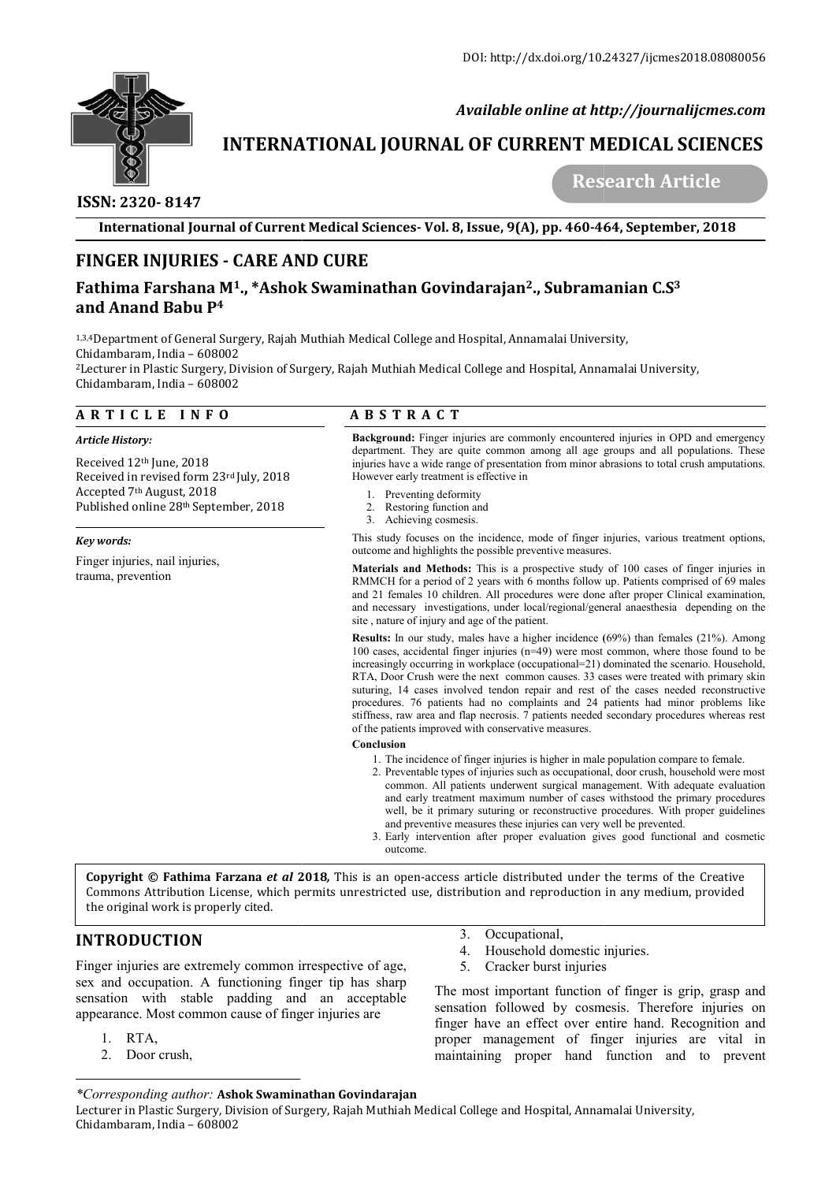

 *Available online at http://journalijcmes.com*

# **INTERNATIONAL JOURNAL OF CURRENT MEDICAL SCIENCES**<br>Research Article

## **ISSN: 2320- 8147**

 **Research Article**

**International Journal of Current Medical Sciences Sciences- Vol. 8, Issue, 9(A), pp. 460-464**

# **FINGER INJURIES - CARE AND CURE**

## **Fathima Farshana M1., \*Ashok Swaminathan Govindarajan Govindarajan2., Subramanian C.S and Anand Babu P4**

1,3,4Department of General Surgery, Rajah Muthiah Medical College and Hospital, Annamalai University, Chidambaram, India – 608002 1.3.4Department of General Surgery, Rajah Muthiah Medical College and Hospital, Annamalai University,<br>Chidambaram, India – 608002<br><sup>2</sup>Lecturer in Plastic Surgery, Division of Surgery, Rajah Muthiah Medical College and Hospi

Chidambaram, India – 608002

## **A R T I C L E I N F O**

#### *Article History:*

Received 12th June, 2018 Received in revised form 23rd July, 2018 Accepted 7th August, 2018 Published online 28th September, 2018

#### *Key words:*

Finger injuries, nail injuries, trauma, prevention

## **A B S T R A C T**

**Background:** Finger injuries are commonly encountered injuries in OPD and emergency department. They are quite common among all age groups and all populations. These injuries have a wide range of presentation from minor abrasions to total crush amputations. However early treatment is effective in

- 1. Preventing deformity
- 2. Restoring function and<br>3. Achieving cosmesis
- Achieving cosmesis.

This study focuses on the incidence, mode of finger injuries, various treatment options, outcome and highlights the possible preventive measures.

**Materials and Methods:** This is a prospective study of 100 cases of finger injuries in RMMCH for a period of 2 years with 6 months follow up. Patients comprised of 69 males and 21 females 10 children. All procedures were done after proper Clinical examination, and necessary investigations, under local/regional/general anaesthesia depending on the site , nature of injury and age of the patient.

**Results:** In our study, males have a higher incidence (69%) than females (21%). Among 100 cases, accidental finger injuries (n=49) were most common, where those found to be increasingly occurring in workplace (occupational=21) dominated the scenario. Household, RTA, Door Crush were the next common causes. 33 cases were treated with primary skin suturing, 14 cases involved tendon repair and rest of the cases needed reconstructive procedures. 76 patients had no complaints and 24 patients had minor problems like stiffness, raw area and flap necrosis. 7 patients needed secondary procedures whereas rest of the patients improved with conservative measures. **ian<sup>2</sup>., Subramanian C.S<sup>3</sup><br>
and Hospital, Annamalai University,<br>
and Hospital, Annamalai University,<br>
and Hospital, Annamalai University,<br>
e commonly encountered injuries in Ol<br>
sentation from minor abrasions to total<br>
b Background:** Finger injuries are commonly encountered injuries in OPD and emergency<br>department. They are quite common among all age groups and all populations. These<br>injuries have a wide range of presentation from minor **and maximum the primary well, be sure the primary well, and y after the proper evaluation** function function functional and cosmetic interactions. The primary well and the proper evaluation function function function func

#### **Conclusion**

- 1. The incidence of finger injuries is higher in male population compare to female.
- 2. Preventable types of injuries such as occupational, door crush, household were most common. All patients underwent surgical management. With adequate evaluation and early treatment maximum number of cases withstood the primary procedures well, be it primary suturing or reconstructive procedures. With proper guidelines and preventive measures these injuries can very well be prevented.

3. Early intervention after proper evaluation gives good functional and cosmetic outcome.

**Copyright © Fathima Farzana** *et al* **201 2018***,* This is an open-access article distributed under the terms of the Creative **Copyright © Fathima Farzana** *et al* **2018,** This is an open-access article distributed under the terms of the Creative<br>Commons Attribution License, which permits unrestricted use, distribution and reproduction in any mediu the original work is properly cited.

# **INTRODUCTION**

Finger injuries are extremely common irrespective of age, sex and occupation. A functioning finger tip has sharp sensation with stable padding and an acceptable appearance. Most common cause of finger injuries are

- 1. RTA,
- 2. Door crush,
- 3. Occupational,
- 4. Household domestic injuries.
- 5. Cracker burst injuries

The most important function of finger is grip, grasp and sensation followed by cosmesis. Therefore injuries on finger have an effect over entire hand. Recognition and proper management of finger injuries are vital in maintaining proper hand function and to prevent

### *\*Corresponding author:* **Ashok Swaminathan Govindarajan**

Lecturer in Plastic Surgery, Division of Surgery, Rajah Muthiah Medical College and Hospital, Annamalai University, Chidambaram, India – 608002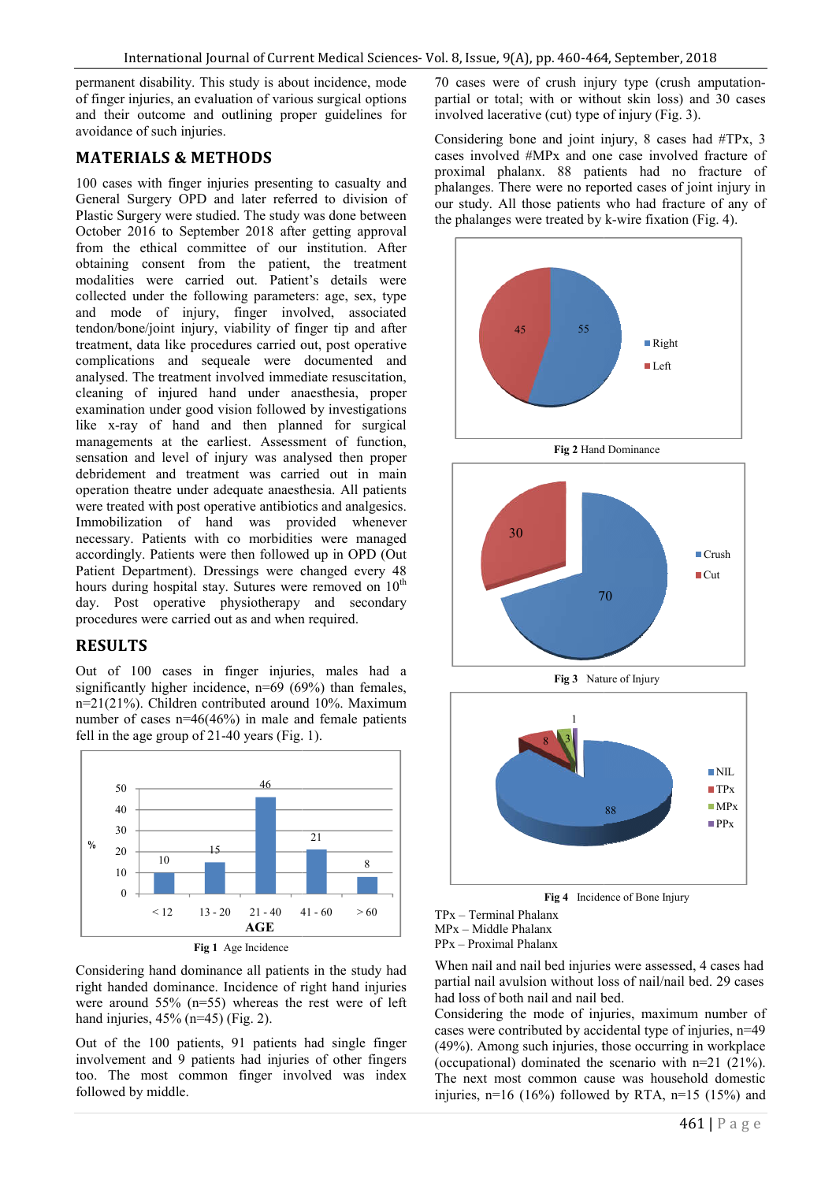permanent disability. This study is about incidence, mode of finger injuries, an evaluation of various surgical options and their outcome and outlining proper guidelines for avoidance of such injuries.

## **MATERIALS & METHODS**

100 cases with finger injuries presenting to casualty and General Surgery OPD and later referred to division of Plastic Surgery were studied. The study was done between October 2016 to September 2018 after getting approval from the ethical committee of our institution. After obtaining consent from the patient, the treatment modalities were carried out. Patient's details were collected under the following parameters: age, sex, type and mode of injury, finger involved, associated tendon/bone/joint injury, viability of finger tip and after treatment, data like procedures carried out, post operative complications and sequeale were documented and analysed. The treatment involved immediate resuscitation, cleaning of injured hand under anaesthesia, proper examination under good vision followed by investigations like x-ray of hand and then planned for surgical managements at the earliest. Assessment of function, sensation and level of injury was analysed then proper debridement and treatment was carried out in main operation theatre under adequate anaesthesia. All patients were treated with post operative antibiotics and analgesics. Immobilization of hand was provided whenever necessary. Patients with co morbidities were managed accordingly. Patients were then followed up in OPD (Out Patient Department). Dressings were changed every 48 hours during hospital stay. Sutures were removed on 10<sup>th</sup> day. Post operative physiotherapy and secondary procedures were carried out as and when required. leaning of injured hand under anaesthesia, proper<br>xamination under good vision followed by investigations<br>ke x-ray of hand and then planned for surgical<br>nanagements at the earliest. Assessment of function,<br>ensation and lev study is about incidence, mode and the study is about incidence, mode and the study of crush injury type (crush amputation of various surpled imposes and of a cases involved accretative (cau) type of injury (Fig. 3).<br> **HO** 

## **RESULTS**

Out of 100 cases in finger injuries, males had a significantly higher incidence, n=69 (69%) than females, n=21(21%). Children contributed around 10%. Maximum number of cases n=46(46%) in male and female patients fell in the age group of 21-40 years (Fig. 1).



Considering hand dominance all patients in the study had right handed dominance. Incidence of right hand injuries were around 55% (n=55) whereas the rest were of left hand injuries,  $45\%$  (n=45) (Fig. 2).

Out of the 100 patients, 91 patients had single finger involvement and 9 patients had injuries of other fingers too. The most common finger involved was index followed by middle.

partial or total; with or without skin loss) and 30 cases involved lacerative (cut) type of injury (Fig. 3). 70 cases were of crush injury type (crush amputation-

Considering bone and joint injury, 8 cases had #TPx, 3 cases involved #MPx and one case involved fracture of proximal phalanx. 88 patients had no fracture of had phalanges. There were no reported cases of joint injury in phalanges. There were no reported cases of joint injury in our study. All those patients who had fracture of any of the phalanges were treated by k-wire fixation (Fig. 4). or total; with or without skin loss) and 30 cases<br>ed lacerative (cut) type of injury (Fig. 3).<br>dering bone and joint injury, 8 cases had  $#TPx$ , 3<br>involved  $#MPx$  and one case involved fracture of



**Fig 2** Hand Dominance





**Fig 4** Incidence of Bone

TPx – Terminal Phalanx MPx – Middle Phalanx PPx – Proximal Phalanx

When nail and nail bed injuries were assessed, 4 cases had partial nail avulsion without loss of nail/nail bed. 29 cases had loss of both nail and nail bed. partial nail avulsion without loss of nail/nail bed. 29 cases had loss of both nail and nail bed.

Considering the mode of injuries, maximum number of cases were contributed by accidental type of injuries, n=49 (49%). Among such injuries, those occurring in workplace (occupational) dominated the scenario with n=21 (21%). The next most common cause was household domestic injuries,  $n=16$  (16%) followed by RTA,  $n=15$  (15%) and e mode of injuries, maximum number of<br>tributed by accidental type of injuries, n=49<br>such injuries, those occurring in workplace<br>dominated the scenario with n=21 (21%).<br>common cause was household domestic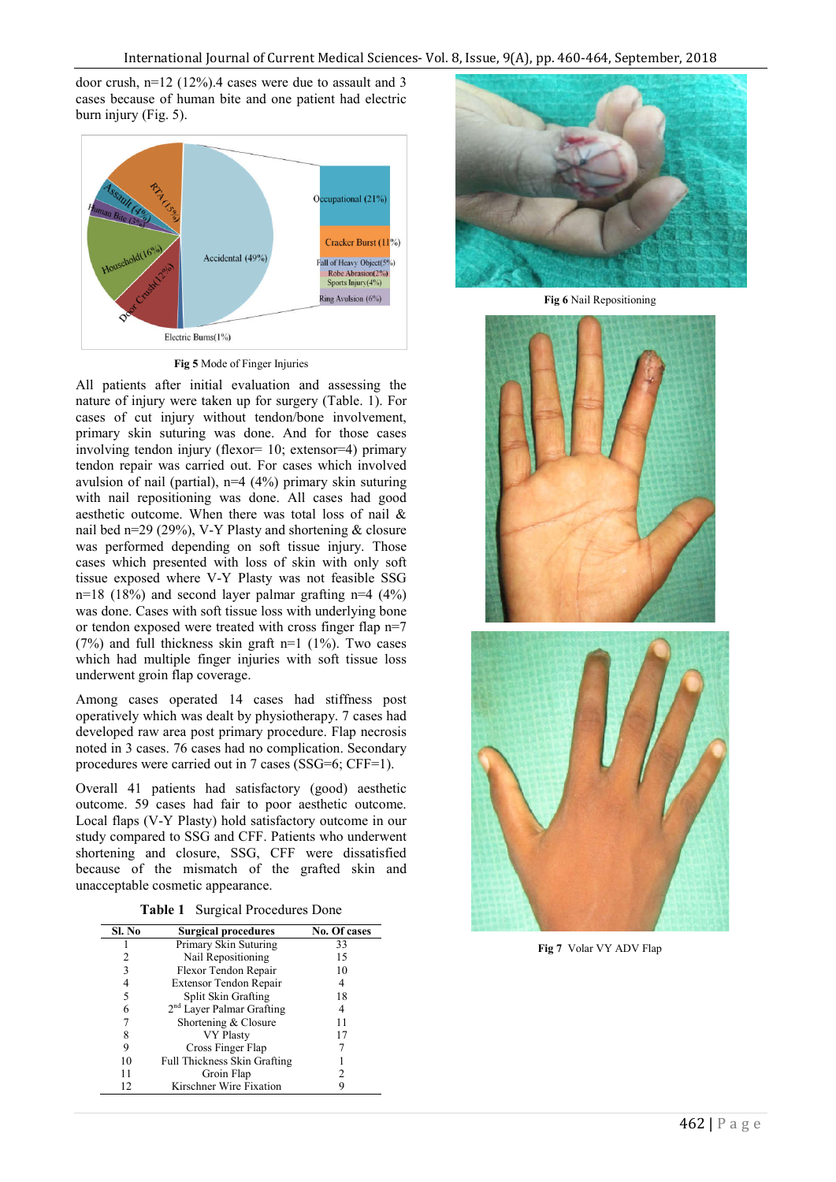door crush, n=12 (12%).4 cases were due to assault and 3 cases because of human bite and one patient had electric burn injury (Fig. 5).



**Fig 5** Mode of Finger Injuries

All patients after initial evaluation and assessing the nature of injury were taken up for surgery (Table. 1). For cases of cut injury without tendon/bone involvement, primary skin suturing was done. And for those cases involving tendon injury (flexor= 10; extensor=4) primary tendon repair was carried out. For cases which involved avulsion of nail (partial), n=4 (4%) primary skin suturing with nail repositioning was done. All cases had good aesthetic outcome. When there was total loss of nail & nail bed n=29 (29%), V-Y Plasty and shortening & closure was performed depending on soft tissue injury. Those cases which presented with loss of skin with only soft tissue exposed where V-Y Plasty was not feasible SSG n=18 (18%) and second layer palmar grafting n=4 (4%) was done. Cases with soft tissue loss with underlying bone or tendon exposed were treated with cross finger flap n=7 (7%) and full thickness skin graft  $n=1$  (1%). Two cases which had multiple finger injuries with soft tissue loss underwent groin flap coverage.

Among cases operated 14 cases had stiffness post operatively which was dealt by physiotherapy. 7 cases had developed raw area post primary procedure. Flap necrosis noted in 3 cases. 76 cases had no complication. Secondary procedures were carried out in 7 cases (SSG=6; CFF=1).

Overall 41 patients had satisfactory (good) aesthetic outcome. 59 cases had fair to poor aesthetic outcome. Local flaps (V-Y Plasty) hold satisfactory outcome in our study compared to SSG and CFF. Patients who underwent shortening and closure, SSG, CFF were dissatisfied because of the mismatch of the grafted skin and unacceptable cosmetic appearance.

**Table 1** Surgical Procedures Done

| Sl. No | <b>Surgical procedures</b>            | No. Of cases |
|--------|---------------------------------------|--------------|
|        | Primary Skin Suturing                 | 33           |
| 2      | Nail Repositioning                    | 15           |
| 3      | Flexor Tendon Repair                  | 10           |
| 4      | Extensor Tendon Repair                | 4            |
| 5      | Split Skin Grafting                   | 18           |
| 6      | 2 <sup>nd</sup> Layer Palmar Grafting | 4            |
|        | Shortening & Closure                  | 11           |
| 8      | <b>VY Plasty</b>                      | 17           |
| 9      | Cross Finger Flap                     |              |
| 10     | <b>Full Thickness Skin Grafting</b>   |              |
| 11     | Groin Flap                            |              |
| 12     | Kirschner Wire Fixation               |              |



**Fig 6** Nail Repositioning



**Fig 7** Volar VY ADV Flap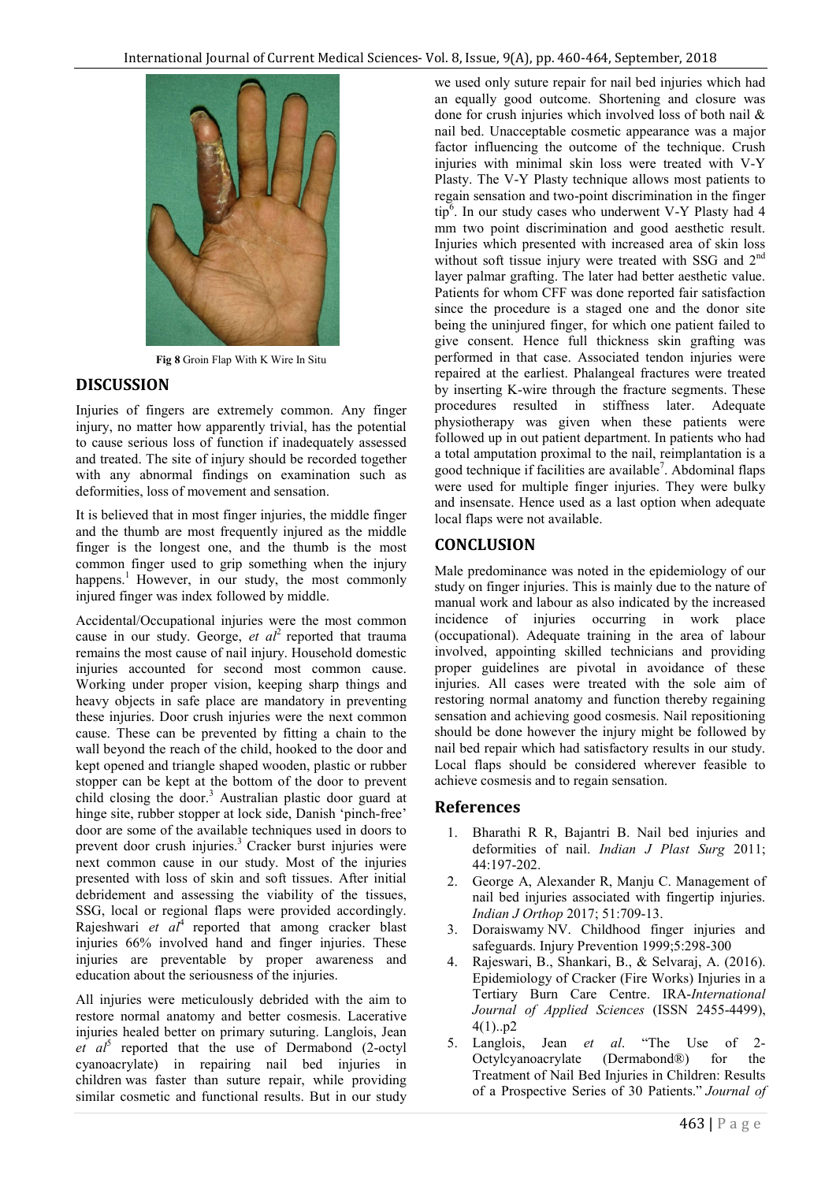

**Fig 8** Groin Flap With K Wire In Situ

## **DISCUSSION**

Injuries of fingers are extremely common. Any finger injury, no matter how apparently trivial, has the potential to cause serious loss of function if inadequately assessed and treated. The site of injury should be recorded together with any abnormal findings on examination such as deformities, loss of movement and sensation.

It is believed that in most finger injuries, the middle finger and the thumb are most frequently injured as the middle finger is the longest one, and the thumb is the most common finger used to grip something when the injury happens.<sup>1</sup> However, in our study, the most commonly injured finger was index followed by middle.

Accidental/Occupational injuries were the most common cause in our study. George, *et al*2 reported that trauma remains the most cause of nail injury. Household domestic injuries accounted for second most common cause. Working under proper vision, keeping sharp things and heavy objects in safe place are mandatory in preventing these injuries. Door crush injuries were the next common cause. These can be prevented by fitting a chain to the wall beyond the reach of the child, hooked to the door and kept opened and triangle shaped wooden, plastic or rubber stopper can be kept at the bottom of the door to prevent child closing the door.<sup>3</sup> Australian plastic door guard at hinge site, rubber stopper at lock side, Danish 'pinch-free' door are some of the available techniques used in doors to prevent door crush injuries.<sup>3</sup> Cracker burst injuries were next common cause in our study. Most of the injuries presented with loss of skin and soft tissues. After initial debridement and assessing the viability of the tissues, SSG, local or regional flaps were provided accordingly. Rajeshwari *et*  $aI^4$  reported that among cracker blast injuries 66% involved hand and finger injuries. These injuries are preventable by proper awareness and education about the seriousness of the injuries.

All injuries were meticulously debrided with the aim to restore normal anatomy and better cosmesis. Lacerative injuries healed better on primary suturing. Langlois, Jean *et*  $al^5$  reported that the use of Dermabond (2-octyl cyanoacrylate) in repairing nail bed injuries in children was faster than suture repair, while providing similar cosmetic and functional results. But in our study

we used only suture repair for nail bed injuries which had an equally good outcome. Shortening and closure was done for crush injuries which involved loss of both nail & nail bed. Unacceptable cosmetic appearance was a major factor influencing the outcome of the technique. Crush injuries with minimal skin loss were treated with V-Y Plasty. The V-Y Plasty technique allows most patients to regain sensation and two-point discrimination in the finger tip<sup>6</sup>. In our study cases who underwent V-Y Plasty had 4 mm two point discrimination and good aesthetic result. Injuries which presented with increased area of skin loss without soft tissue injury were treated with SSG and 2<sup>nd</sup> layer palmar grafting. The later had better aesthetic value. Patients for whom CFF was done reported fair satisfaction since the procedure is a staged one and the donor site being the uninjured finger, for which one patient failed to give consent. Hence full thickness skin grafting was performed in that case. Associated tendon injuries were repaired at the earliest. Phalangeal fractures were treated by inserting K-wire through the fracture segments. These procedures resulted in stiffness later. Adequate physiotherapy was given when these patients were followed up in out patient department. In patients who had a total amputation proximal to the nail, reimplantation is a good technique if facilities are available<sup>7</sup>. Abdominal flaps were used for multiple finger injuries. They were bulky and insensate. Hence used as a last option when adequate local flaps were not available.

## **CONCLUSION**

Male predominance was noted in the epidemiology of our study on finger injuries. This is mainly due to the nature of manual work and labour as also indicated by the increased incidence of injuries occurring in work place (occupational). Adequate training in the area of labour involved, appointing skilled technicians and providing proper guidelines are pivotal in avoidance of these injuries. All cases were treated with the sole aim of restoring normal anatomy and function thereby regaining sensation and achieving good cosmesis. Nail repositioning should be done however the injury might be followed by nail bed repair which had satisfactory results in our study. Local flaps should be considered wherever feasible to achieve cosmesis and to regain sensation.

## **References**

- 1. Bharathi R R, Bajantri B. Nail bed injuries and deformities of nail. *Indian J Plast Surg* 2011; 44:197-202.
- 2. George A, Alexander R, Manju C. Management of nail bed injuries associated with fingertip injuries. *Indian J Orthop* 2017; 51:709-13.
- 3. Doraiswamy NV. Childhood finger injuries and safeguards. Injury Prevention 1999;5:298-300
- 4. Rajeswari, B., Shankari, B., & Selvaraj, A. (2016). Epidemiology of Cracker (Fire Works) Injuries in a Tertiary Burn Care Centre. IRA-*International Journal of Applied Sciences* (ISSN 2455-4499),  $4(1)$ ..p2
- 5. Langlois, Jean *et al*. "The Use of 2- Octylcyanoacrylate (Dermabond®) for the Treatment of Nail Bed Injuries in Children: Results of a Prospective Series of 30 Patients." *Journal of*